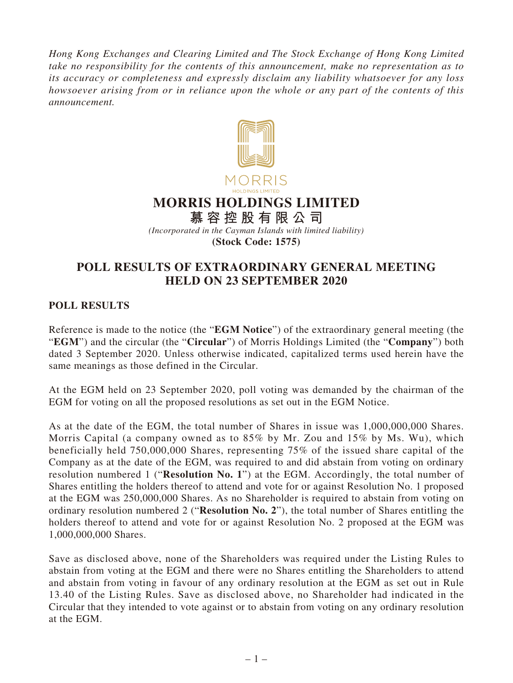*Hong Kong Exchanges and Clearing Limited and The Stock Exchange of Hong Kong Limited take no responsibility for the contents of this announcement, make no representation as to its accuracy or completeness and expressly disclaim any liability whatsoever for any loss howsoever arising from or in reliance upon the whole or any part of the contents of this announcement.*



## **POLL RESULTS OF EXTRAORDINARY GENERAL MEETING HELD ON 23 SEPTEMBER 2020**

## **POLL RESULTS**

Reference is made to the notice (the "**EGM Notice**") of the extraordinary general meeting (the "**EGM**") and the circular (the "**Circular**") of Morris Holdings Limited (the "**Company**") both dated 3 September 2020. Unless otherwise indicated, capitalized terms used herein have the same meanings as those defined in the Circular.

At the EGM held on 23 September 2020, poll voting was demanded by the chairman of the EGM for voting on all the proposed resolutions as set out in the EGM Notice.

As at the date of the EGM, the total number of Shares in issue was 1,000,000,000 Shares. Morris Capital (a company owned as to 85% by Mr. Zou and 15% by Ms. Wu), which beneficially held 750,000,000 Shares, representing 75% of the issued share capital of the Company as at the date of the EGM, was required to and did abstain from voting on ordinary resolution numbered 1 ("**Resolution No. 1**") at the EGM. Accordingly, the total number of Shares entitling the holders thereof to attend and vote for or against Resolution No. 1 proposed at the EGM was 250,000,000 Shares. As no Shareholder is required to abstain from voting on ordinary resolution numbered 2 ("**Resolution No. 2**"), the total number of Shares entitling the holders thereof to attend and vote for or against Resolution No. 2 proposed at the EGM was 1,000,000,000 Shares.

Save as disclosed above, none of the Shareholders was required under the Listing Rules to abstain from voting at the EGM and there were no Shares entitling the Shareholders to attend and abstain from voting in favour of any ordinary resolution at the EGM as set out in Rule 13.40 of the Listing Rules. Save as disclosed above, no Shareholder had indicated in the Circular that they intended to vote against or to abstain from voting on any ordinary resolution at the EGM.